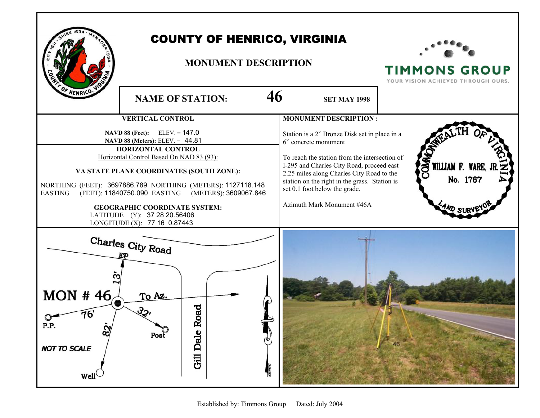

## COUNTY OF HENRICO, VIRGINIA

## **MONUMENT DESCRIPTION**



**TIMMONS GROUP**